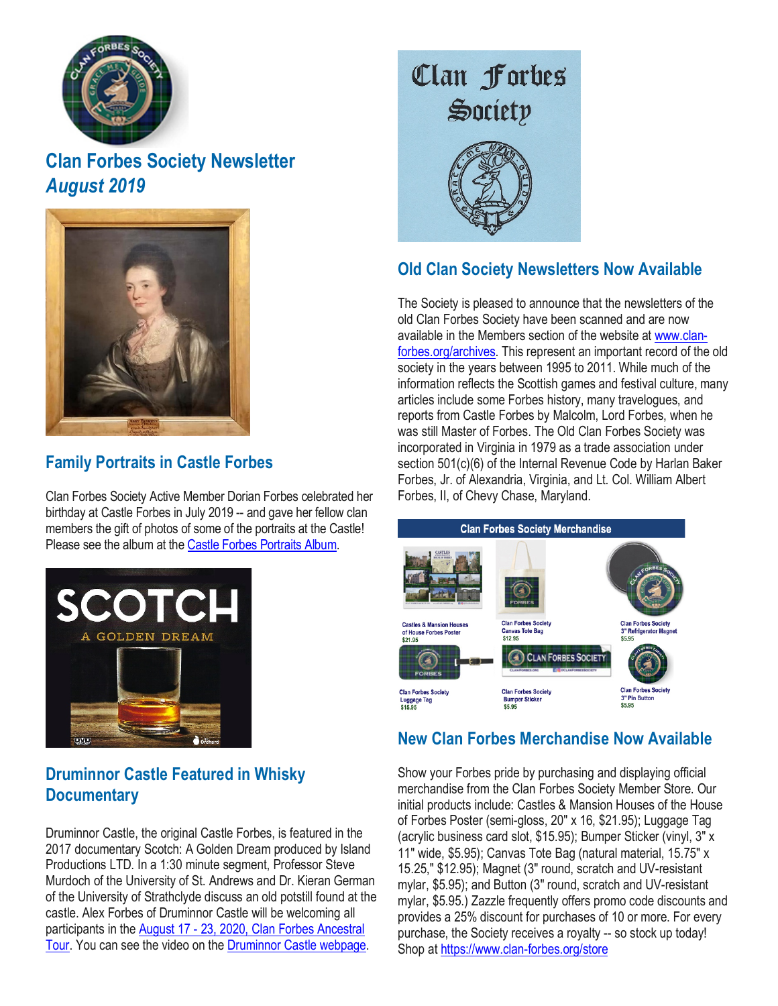

## **Clan Forbes Society Newsletter** *August 2019*



#### **Family Portraits in Castle Forbes**

Clan Forbes Society Active Member Dorian Forbes celebrated her birthday at Castle Forbes in July 2019 -- and gave her fellow clan members the gift of photos of some of the portraits at the Castle! Please see the album at the Castle Forbes [Portraits](https://gcc01.safelinks.protection.outlook.com/?url=https%3A%2F%2Fwww.clan-forbes.org%2Fcastle-forbes-portraits&data=02%7C01%7Cbforbes%40ntia.gov%7Cc60a93979708444ee19108d72584bade%7Cd6cff1bd67dd4ce8945dd07dc775672f%7C0%7C1%7C637019124316027445&sdata=Cyi1hO3i4r56LbIN%2FWFJ3Dkd8l%2FwwlfKpZDj0gesOZU%3D&reserved=0) Album.



#### **Druminnor Castle Featured in Whisky Documentary**

Druminnor Castle, the original Castle Forbes, is featured in the 2017 documentary Scotch: A Golden Dream produced by Island Productions LTD. In a 1:30 minute segment, Professor Steve Murdoch of the University of St. Andrews and Dr. Kieran German of the University of Strathclyde discuss an old potstill found at the castle. Alex Forbes of Druminnor Castle will be welcoming all participants in the August 17 - 23, 2020, Clan Forbes [Ancestral](https://www.clan-forbes.org/2020tour) [Tour.](https://www.clan-forbes.org/2020tour) You can see the video on the [Druminnor](https://www.clan-forbes.org/druminnor-castle) Castle webpage.

# Clan Forbes Society



#### **Old Clan Society Newsletters Now Available**

The Society is pleased to announce that the newsletters of the old Clan Forbes Society have been scanned and are now available in the Members section of the website at [www.clan](https://gcc01.safelinks.protection.outlook.com/?url=http%3A%2F%2Fwww.clan-forbes.org%2Farchives&data=02%7C01%7Cbforbes%40ntia.gov%7Cc60a93979708444ee19108d72584bade%7Cd6cff1bd67dd4ce8945dd07dc775672f%7C0%7C1%7C637019124316037440&sdata=f5bur%2FZW6EapmHgcaOeuTF1pC3cLn%2FNQ7apmejLv3Ks%3D&reserved=0)[forbes.org/archives.](https://gcc01.safelinks.protection.outlook.com/?url=http%3A%2F%2Fwww.clan-forbes.org%2Farchives&data=02%7C01%7Cbforbes%40ntia.gov%7Cc60a93979708444ee19108d72584bade%7Cd6cff1bd67dd4ce8945dd07dc775672f%7C0%7C1%7C637019124316037440&sdata=f5bur%2FZW6EapmHgcaOeuTF1pC3cLn%2FNQ7apmejLv3Ks%3D&reserved=0) This represent an important record of the old society in the years between 1995 to 2011. While much of the information reflects the Scottish games and festival culture, many articles include some Forbes history, many travelogues, and reports from Castle Forbes by Malcolm, Lord Forbes, when he was still Master of Forbes. The Old Clan Forbes Society was incorporated in Virginia in 1979 as a trade association under section 501(c)(6) of the Internal Revenue Code by Harlan Baker Forbes, Jr. of Alexandria, Virginia, and Lt. Col. William Albert Forbes, II, of Chevy Chase, Maryland.



#### **New Clan Forbes Merchandise Now Available**

Show your Forbes pride by purchasing and displaying official merchandise from the Clan Forbes Society Member Store. Our initial products include: Castles & Mansion Houses of the House of Forbes Poster (semi-gloss, 20" x 16, \$21.95); Luggage Tag (acrylic business card slot, \$15.95); Bumper Sticker (vinyl, 3" x 11" wide, \$5.95); Canvas Tote Bag (natural material, 15.75" x 15.25," \$12.95); Magnet (3" round, scratch and UV-resistant mylar, \$5.95); and Button (3" round, scratch and UV-resistant mylar, \$5.95.) Zazzle frequently offers promo code discounts and provides a 25% discount for purchases of 10 or more. For every purchase, the Society receives a royalty -- so stock up today! Shop at <https://www.clan-forbes.org/store>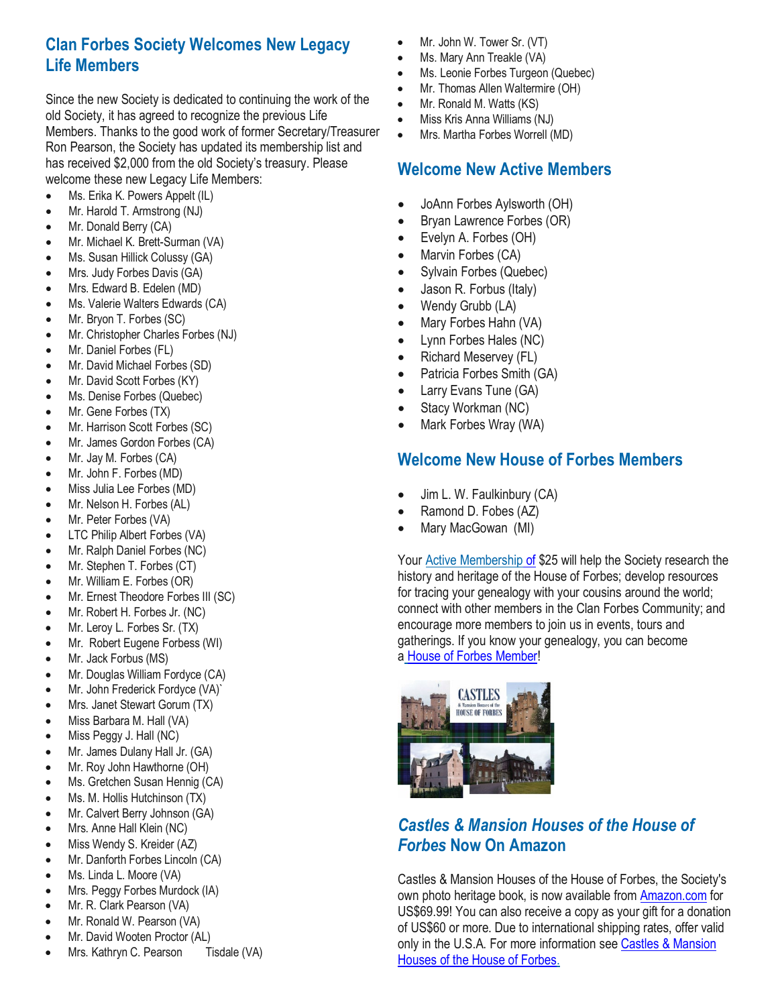#### **Clan Forbes Society Welcomes New Legacy Life Members**

Since the new Society is dedicated to continuing the work of the old Society, it has agreed to recognize the previous Life Members. Thanks to the good work of former Secretary/Treasurer Ron Pearson, the Society has updated its membership list and has received \$2,000 from the old Society's treasury. Please welcome these new Legacy Life Members:

- Ms. Erika K. Powers Appelt (IL)
- Mr. Harold T. Armstrong (NJ)
- Mr. Donald Berry (CA)
- Mr. Michael K. Brett-Surman (VA)
- Ms. Susan Hillick Colussy (GA)
- Mrs. Judy Forbes Davis (GA)
- Mrs. Edward B. Edelen (MD)
- Ms. Valerie Walters Edwards (CA)
- Mr. Bryon T. Forbes (SC)
- Mr. Christopher Charles Forbes (NJ)
- Mr. Daniel Forbes (FL)
- Mr. David Michael Forbes (SD)
- Mr. David Scott Forbes (KY)
- Ms. Denise Forbes (Quebec)
- Mr. Gene Forbes (TX)
- Mr. Harrison Scott Forbes (SC)
- Mr. James Gordon Forbes (CA)
- Mr. Jay M. Forbes (CA)
- Mr. John F. Forbes (MD)
- Miss Julia Lee Forbes (MD)
- Mr. Nelson H. Forbes (AL)
- Mr. Peter Forbes (VA)
- LTC Philip Albert Forbes (VA)
- Mr. Ralph Daniel Forbes (NC)
- Mr. Stephen T. Forbes (CT)
- Mr. William E. Forbes (OR)
- Mr. Ernest Theodore Forbes III (SC)
- Mr. Robert H. Forbes Jr. (NC)
- Mr. Leroy L. Forbes Sr. (TX)
- Mr. Robert Eugene Forbess (WI)
- Mr. Jack Forbus (MS)
- Mr. Douglas William Fordyce (CA)
- Mr. John Frederick Fordyce (VA)`
- Mrs. Janet Stewart Gorum (TX)
- Miss Barbara M. Hall (VA)
- Miss Peggy J. Hall (NC)
- Mr. James Dulany Hall Jr. (GA)
- Mr. Roy John Hawthorne (OH)
- Ms. Gretchen Susan Hennig (CA)
- Ms. M. Hollis Hutchinson (TX)
- Mr. Calvert Berry Johnson (GA)
- Mrs. Anne Hall Klein (NC)
- Miss Wendy S. Kreider (AZ)
- Mr. Danforth Forbes Lincoln (CA)
- Ms. Linda L. Moore (VA)
- Mrs. Peggy Forbes Murdock (IA)
- Mr. R. Clark Pearson (VA)
- Mr. Ronald W. Pearson (VA)
- Mr. David Wooten Proctor (AL)
- Mrs. Kathryn C. Pearson Tisdale (VA)
- Mr. John W. Tower Sr. (VT)
- Ms. Mary Ann Treakle (VA)
- Ms. Leonie Forbes Turgeon (Quebec)
- Mr. Thomas Allen Waltermire (OH)
- Mr. Ronald M. Watts (KS)
- Miss Kris Anna Williams (NJ)
- Mrs. Martha Forbes Worrell (MD)

#### **Welcome New Active Members**

- JoAnn Forbes Aylsworth (OH)
- Bryan Lawrence Forbes (OR)
- Evelyn A. Forbes (OH)
- Marvin Forbes (CA)
- Sylvain Forbes (Quebec)
- Jason R. Forbus (Italy)
- Wendy Grubb (LA)
- Mary Forbes Hahn (VA)
- Lynn Forbes Hales (NC)
- Richard Meservey (FL)
- Patricia Forbes Smith (GA)
- Larry Evans Tune (GA)
- Stacy Workman (NC)
- Mark Forbes Wray (WA)

#### **Welcome New House of Forbes Members**

- Jim L. W. Faulkinbury (CA)
- Ramond D. Fobes (AZ)
- Mary MacGowan (MI)

Your Active [Membership](https://gcc01.safelinks.protection.outlook.com/?url=https%3A%2F%2Fwww.clan-forbes.org%2Factive-membership&data=02%7C01%7Cbforbes%40ntia.gov%7Cc60a93979708444ee19108d72584bade%7Cd6cff1bd67dd4ce8945dd07dc775672f%7C0%7C1%7C637019124316057432&sdata=bNPNXJxA7WsJy0yDflwF6TqOHUUEAneid8lCRyUiBPk%3D&reserved=0) of \$25 will help the Society research the history and heritage of the House of Forbes; develop resources for tracing your genealogy with your cousins around the world; connect with other members in the Clan Forbes Community; and encourage more members to join us in events, tours and gatherings. If you know your genealogy, you can become a House of Forbes [Member!](https://gcc01.safelinks.protection.outlook.com/?url=https%3A%2F%2Fwww.clan-forbes.org%2Fhouse-of-forbes-member&data=02%7C01%7Cbforbes%40ntia.gov%7Cc60a93979708444ee19108d72584bade%7Cd6cff1bd67dd4ce8945dd07dc775672f%7C0%7C1%7C637019124316067423&sdata=3TjQg496cjMwTJXxOThouZzvlMAFB8wgw11NOABzqJI%3D&reserved=0)



#### *Castles & Mansion Houses of the House of Forbes* **Now On Amazon**

Castles & Mansion Houses of the House of Forbes, the Society's own photo heritage book, is now available from [Amazon.com](https://gcc01.safelinks.protection.outlook.com/?url=https%3A%2F%2Fwww.amazon.com%2FCastles-Mansion-Houses-House-Forbes%2Fdp%2F0368990508%2Fref%3Dsr_1_1&data=02%7C01%7Cbforbes%40ntia.gov%7Cc60a93979708444ee19108d72584bade%7Cd6cff1bd67dd4ce8945dd07dc775672f%7C0%7C0%7C637019124316047434&sdata=bcdm1NNihCyj5dAsK7T8FRkUgdyM2HcdqnGBqkRnWS4%3D&reserved=0) for US\$69.99! You can also receive a copy as your gift for a donation of US\$60 or more. Due to international shipping rates, offer valid only in the U.S.A. For more information see Castles & [Mansion](https://gcc01.safelinks.protection.outlook.com/?url=https%3A%2F%2Fwww.clan-forbes.org%2Fcastles-book&data=02%7C01%7Cbforbes%40ntia.gov%7Cc60a93979708444ee19108d72584bade%7Cd6cff1bd67dd4ce8945dd07dc775672f%7C0%7C0%7C637019124316057432&sdata=G1Q6t9OnvfKj8oZ%2BC%2FR6%2F8mS4RDDNbvy3GJHLj0%2BAkw%3D&reserved=0) [Houses](https://gcc01.safelinks.protection.outlook.com/?url=https%3A%2F%2Fwww.clan-forbes.org%2Fcastles-book&data=02%7C01%7Cbforbes%40ntia.gov%7Cc60a93979708444ee19108d72584bade%7Cd6cff1bd67dd4ce8945dd07dc775672f%7C0%7C0%7C637019124316057432&sdata=G1Q6t9OnvfKj8oZ%2BC%2FR6%2F8mS4RDDNbvy3GJHLj0%2BAkw%3D&reserved=0) of the House of Forbes.